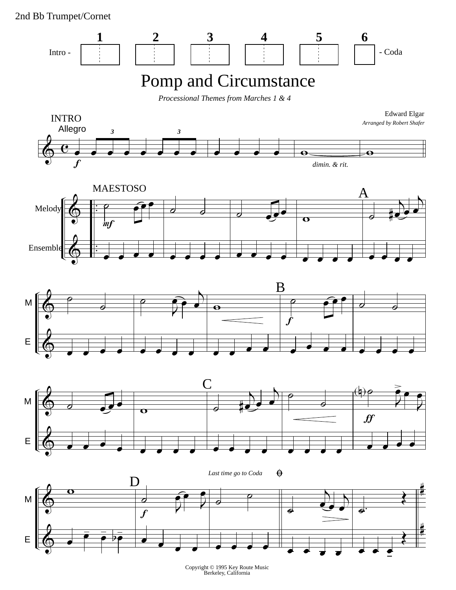2nd Bb Trumpet/Cornet

&

œ



 $\overline{\phantom{a}}$ Copyright © 1995 Key Route Music Berkeley, California

 $\mathbf{v}$   $\mathbf{v}$   $\mathbf{v}$ 

 $\frac{1}{2}$